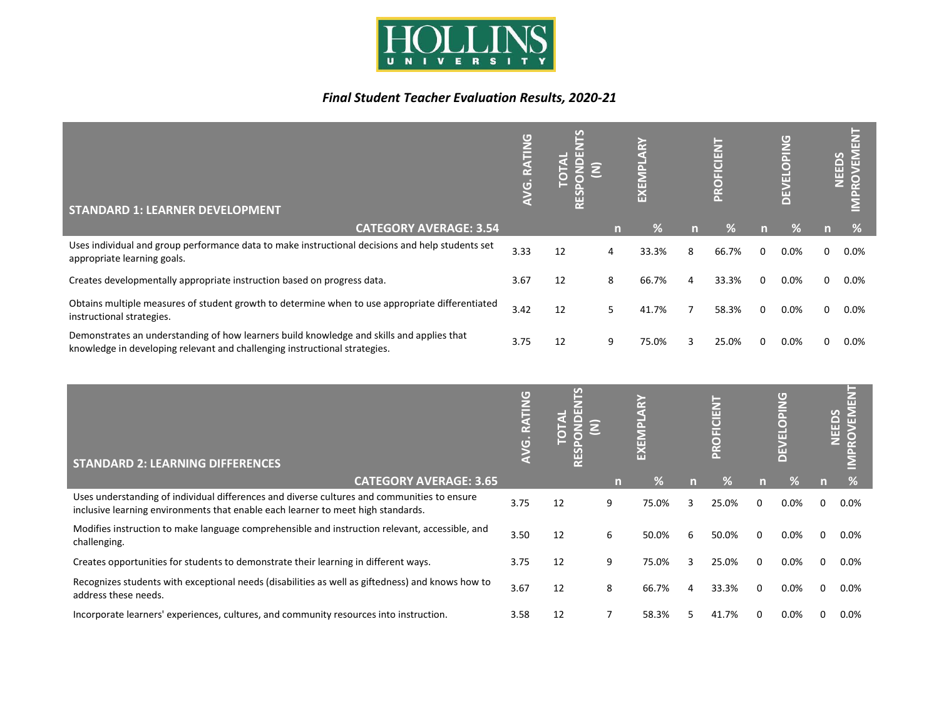

## *Final Student Teacher Evaluation Results, 2020-21*

| <b>STANDARD 1: LEARNER DEVELOPMENT</b>                                                                                                                                  | <b>PAIL</b><br>m<br>œ<br>$\Box$ |    |   |       |   | <b>Nard</b><br>O<br>$\widetilde{R}$ |              | DPING<br><b>TTT</b><br>É |   | ш<br><b>IPROVEM</b><br><b>NEEDS</b> |
|-------------------------------------------------------------------------------------------------------------------------------------------------------------------------|---------------------------------|----|---|-------|---|-------------------------------------|--------------|--------------------------|---|-------------------------------------|
| <b>CATEGORY AVERAGE: 3.54</b>                                                                                                                                           |                                 |    | n | %     | n | 70.                                 |              | %                        | n | %                                   |
| Uses individual and group performance data to make instructional decisions and help students set<br>appropriate learning goals.                                         | 3.33                            | 12 | 4 | 33.3% | 8 | 66.7%                               | <sup>0</sup> | $0.0\%$                  | 0 | $0.0\%$                             |
| Creates developmentally appropriate instruction based on progress data.                                                                                                 | 3.67                            | 12 | 8 | 66.7% |   | 33.3%                               |              | $0.0\%$                  | 0 | $0.0\%$                             |
| Obtains multiple measures of student growth to determine when to use appropriate differentiated<br>instructional strategies.                                            | 3.42                            | 12 | 5 | 41.7% |   | 58.3%                               | $\Omega$     | $0.0\%$                  | 0 | $0.0\%$                             |
| Demonstrates an understanding of how learners build knowledge and skills and applies that<br>knowledge in developing relevant and challenging instructional strategies. | 3.75                            | 12 | 9 | 75.0% |   | 25.0%                               |              | $0.0\%$                  |   | $0.0\%$                             |

| <b>STANDARD 2: LEARNING DIFFERENCES</b>                                                                                                                                         | <b>UNIT</b><br>๔<br>$\overline{G}$ |    |   |       |   | <b>Nard</b> |          | <b>OPING</b><br>π<br>Ξ |   | NEEDS<br>읁<br><b>NOX</b> |
|---------------------------------------------------------------------------------------------------------------------------------------------------------------------------------|------------------------------------|----|---|-------|---|-------------|----------|------------------------|---|--------------------------|
| <b>CATEGORY AVERAGE: 3.65</b>                                                                                                                                                   |                                    |    | m | ℅     | n | ℅           |          | 70.                    |   | ℅                        |
| Uses understanding of individual differences and diverse cultures and communities to ensure<br>inclusive learning environments that enable each learner to meet high standards. | 3.75                               | 12 | 9 | 75.0% |   | 25.0%       | 0        | 0.0%                   |   | 0.0%                     |
| Modifies instruction to make language comprehensible and instruction relevant, accessible, and<br>challenging.                                                                  | 3.50                               | 12 | 6 | 50.0% | h | 50.0%       | $\Omega$ | 0.0%                   |   | $0.0\%$                  |
| Creates opportunities for students to demonstrate their learning in different ways.                                                                                             | 3.75                               | 12 | 9 | 75.0% | 3 | 25.0%       | 0        | 0.0%                   | 0 | $0.0\%$                  |
| Recognizes students with exceptional needs (disabilities as well as giftedness) and knows how to<br>address these needs.                                                        | 3.67                               | 12 | 8 | 66.7% | 4 | 33.3%       | 0        | 0.0%                   | 0 | $0.0\%$                  |
| Incorporate learners' experiences, cultures, and community resources into instruction.                                                                                          | 3.58                               | 12 |   | 58.3% |   | 41.7%       | 0        | 0.0%                   |   | $0.0\%$                  |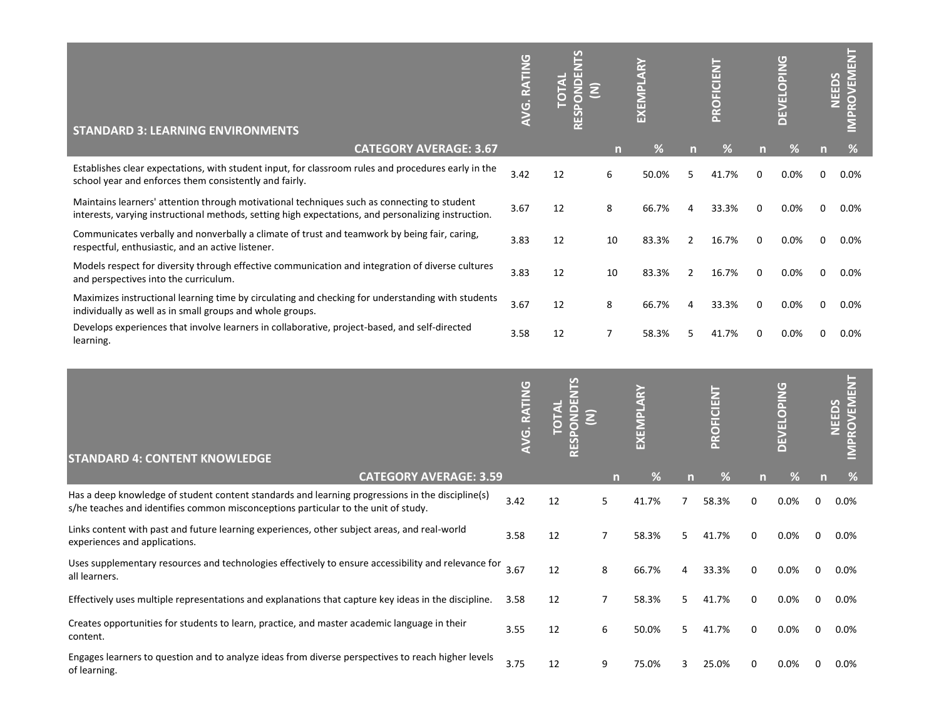| <b>STANDARD 3: LEARNING ENVIRONMENTS</b>                                                                                                                                                           | G. RATING<br>⋧ | ш  |    | EXEMI |                | <b>OFICIENT</b><br>$\tilde{R}$ |          | DPING<br>ш<br>îш<br>∩ | <b>NEEDS</b> | OVEME<br>œ |
|----------------------------------------------------------------------------------------------------------------------------------------------------------------------------------------------------|----------------|----|----|-------|----------------|--------------------------------|----------|-----------------------|--------------|------------|
| <b>CATEGORY AVERAGE: 3.67</b>                                                                                                                                                                      |                |    | n  | ℅     | n              | %                              |          | %                     |              | %          |
| Establishes clear expectations, with student input, for classroom rules and procedures early in the<br>school year and enforces them consistently and fairly.                                      | 3.42           | 12 | 6  | 50.0% | 5              | 7%<br>41                       | n        | 0.0%                  | 0            | $0.0\%$    |
| Maintains learners' attention through motivational techniques such as connecting to student<br>interests, varying instructional methods, setting high expectations, and personalizing instruction. | 3.67           | 12 | 8  | 66.7% | 4              | 33.3%                          | $\Omega$ | 0.0%                  | 0            | $0.0\%$    |
| Communicates verbally and nonverbally a climate of trust and teamwork by being fair, caring,<br>respectful, enthusiastic, and an active listener.                                                  | 3.83           | 12 | 10 | 83.3% | $\overline{2}$ | 16.7%                          | $\Omega$ | 0.0%                  | 0            | $0.0\%$    |
| Models respect for diversity through effective communication and integration of diverse cultures<br>and perspectives into the curriculum.                                                          | 3.83           | 12 | 10 | 83.3% | 2              | 16.7%                          | $\Omega$ | 0.0%                  | 0            | $0.0\%$    |
| Maximizes instructional learning time by circulating and checking for understanding with students<br>individually as well as in small groups and whole groups.                                     | 3.67           | 12 | 8  | 66.7% | 4              | 33.3%                          | $\Omega$ | 0.0%                  | 0            | $0.0\%$    |
| Develops experiences that involve learners in collaborative, project-based, and self-directed<br>learning.                                                                                         | 3.58           | 12 |    | 58.3% |                | 41                             |          | 0.0%                  |              | 0.0%       |

| <b>STANDARD 4: CONTENT KNOWLEDGE</b>                                                                                                                                                   | <b>RATIN</b><br>G |    |    | EXEN  |    | <b>OFICIENT</b><br>$\tilde{R}$ |   | Θ<br>OPING<br>ш<br>$\Box$ |   | 돊<br><b>ROVEM</b><br>NEEDS |
|----------------------------------------------------------------------------------------------------------------------------------------------------------------------------------------|-------------------|----|----|-------|----|--------------------------------|---|---------------------------|---|----------------------------|
| <b>CATEGORY AVERAGE: 3.59</b>                                                                                                                                                          |                   |    | n  | ℅     | n  | ℅                              | m | ℅                         |   | ℅                          |
| Has a deep knowledge of student content standards and learning progressions in the discipline(s)<br>s/he teaches and identifies common misconceptions particular to the unit of study. | 3.42              | 12 | 5. | 41.7% |    | 58.3%                          | 0 | $0.0\%$                   | 0 | $0.0\%$                    |
| Links content with past and future learning experiences, other subject areas, and real-world<br>experiences and applications.                                                          | 3.58              | 12 | 7  | 58.3% | 5. | 41.7%                          | 0 | 0.0%                      | 0 | $0.0\%$                    |
| Uses supplementary resources and technologies effectively to ensure accessibility and relevance for<br>all learners.                                                                   | 3.67              | 12 | 8  | 66.7% |    | 33.3%                          | 0 | 0.0%                      |   | $0.0\%$                    |
| Effectively uses multiple representations and explanations that capture key ideas in the discipline.                                                                                   | 3.58              | 12 | 7  | 58.3% | 5. | 41.7%                          | 0 | $0.0\%$                   | 0 | $0.0\%$                    |
| Creates opportunities for students to learn, practice, and master academic language in their<br>content.                                                                               | 3.55              | 12 | 6  | 50.0% |    | 41.7%                          | 0 | 0.0%                      | 0 | $0.0\%$                    |
| Engages learners to question and to analyze ideas from diverse perspectives to reach higher levels<br>of learning.                                                                     | 3.75              | 12 | 9  | 75.0% |    | 25.0%                          | 0 | 0.0%                      |   | $0.0\%$                    |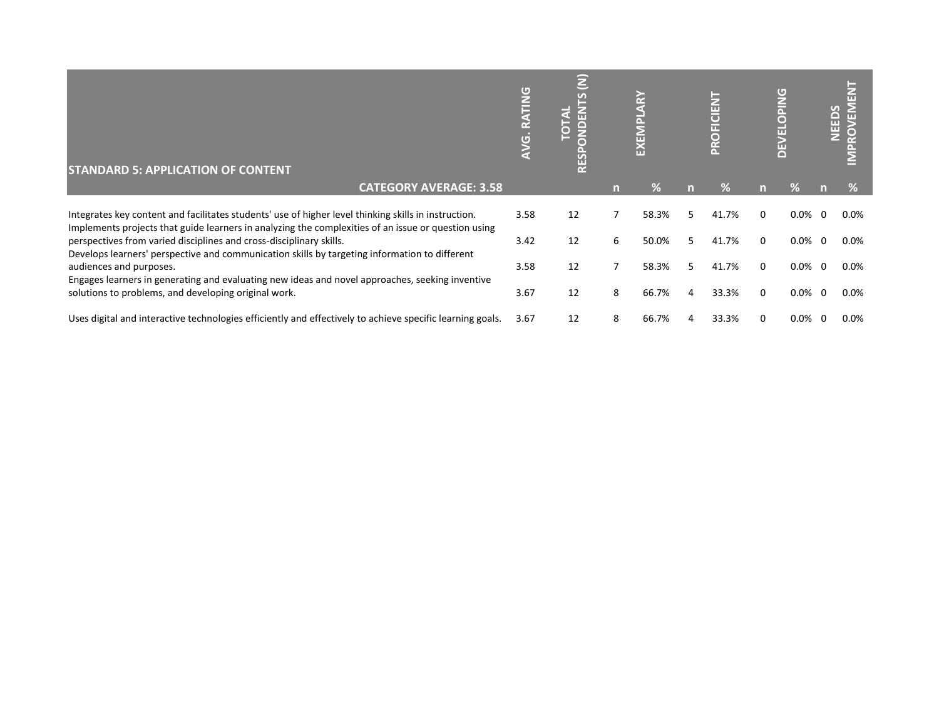| <b>STANDARD 5: APPLICATION OF CONTENT</b>                                                                                                                                                                   | σ<br>G | Ξ<br><b>RES</b> |   | EXEN  |    | CIENT<br>F<br>$\overline{C}$<br>Ě |   | <b>PING</b><br><b>LTL</b><br>ш<br>$\Box$ |     | $\mathbf{F}$<br>NEEDS<br>ó |
|-------------------------------------------------------------------------------------------------------------------------------------------------------------------------------------------------------------|--------|-----------------|---|-------|----|-----------------------------------|---|------------------------------------------|-----|----------------------------|
| <b>CATEGORY AVERAGE: 3.58</b>                                                                                                                                                                               |        |                 |   | Y.    | n  | $\%$                              |   | ۷o                                       |     | %                          |
| Integrates key content and facilitates students' use of higher level thinking skills in instruction.<br>Implements projects that guide learners in analyzing the complexities of an issue or question using | 3.58   | 12              |   | 58.3% |    | 41.7%                             |   | 0.0%                                     | - 0 | $0.0\%$                    |
| perspectives from varied disciplines and cross-disciplinary skills.                                                                                                                                         | 3.42   | 12              | 6 | 50.0% | 5. | 41.7%                             |   | $0.0\%$                                  | - 0 | $0.0\%$                    |
| Develops learners' perspective and communication skills by targeting information to different<br>audiences and purposes.                                                                                    | 3.58   | 12              |   | 58.3% | 5. | 41.7%                             | 0 | $0.0\%$                                  | - 0 | $0.0\%$                    |
| Engages learners in generating and evaluating new ideas and novel approaches, seeking inventive<br>solutions to problems, and developing original work.                                                     | 3.67   | 12              | 8 | 66.7% | 4  | 33.3%                             | 0 | $0.0\%$                                  | - 0 | $0.0\%$                    |
| Uses digital and interactive technologies efficiently and effectively to achieve specific learning goals.                                                                                                   | 3.67   | 12              | 8 | 66.7% |    | 33.3%                             |   | $0.0\%$                                  | - 0 | $0.0\%$                    |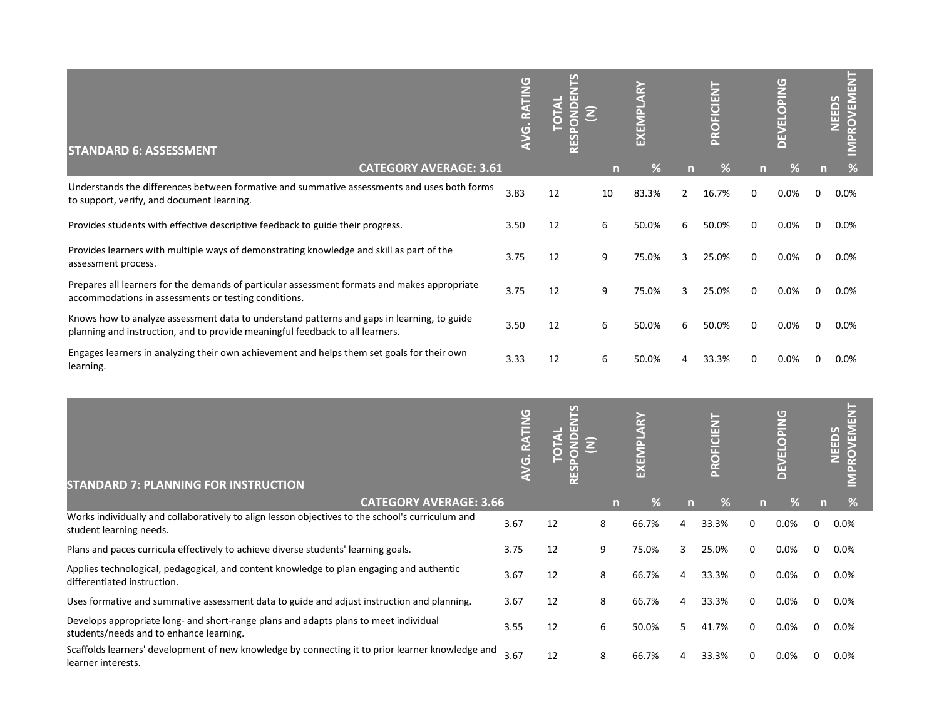| <b>STANDARD 6: ASSESSMENT</b>                                                                                                                                               | <b>ATING</b><br>VG.RZ | 띥  |    | EXEN  |               | PROFICIENT |    | DAING<br>$\mathbf{H}$<br>$\overline{\phantom{a}}$ |   | ш<br><b>NEEDS</b><br>ш |
|-----------------------------------------------------------------------------------------------------------------------------------------------------------------------------|-----------------------|----|----|-------|---------------|------------|----|---------------------------------------------------|---|------------------------|
| <b>CATEGORY AVERAGE: 3.61</b>                                                                                                                                               |                       |    | n  | ℅     | n             | %          | m. | ℅                                                 | n | %                      |
| Understands the differences between formative and summative assessments and uses both forms<br>to support, verify, and document learning.                                   | 3.83                  | 12 | 10 | 83.3% | $\mathcal{P}$ | 16.7%      | 0  | 0.0%                                              | 0 | 0.0%                   |
| Provides students with effective descriptive feedback to guide their progress.                                                                                              | 3.50                  | 12 | 6  | 50.0% | 6             | 50.0%      | 0  | 0.0%                                              | 0 | 0.0%                   |
| Provides learners with multiple ways of demonstrating knowledge and skill as part of the<br>assessment process.                                                             | 3.75                  | 12 | 9  | 75.0% | 3             | 25.0%      | 0  | 0.0%                                              | 0 | 0.0%                   |
| Prepares all learners for the demands of particular assessment formats and makes appropriate<br>accommodations in assessments or testing conditions.                        | 3.75                  | 12 | 9  | 75.0% | 3             | 25.0%      | 0  | 0.0%                                              | 0 | 0.0%                   |
| Knows how to analyze assessment data to understand patterns and gaps in learning, to guide<br>planning and instruction, and to provide meaningful feedback to all learners. | 3.50                  | 12 | 6  | 50.0% | 6             | 50.0%      | O  | 0.0%                                              | 0 | 0.0%                   |
| Engages learners in analyzing their own achievement and helps them set goals for their own<br>learning.                                                                     | 3.33                  | 12 | 6  | 50.0% |               | 33.3%      |    | 0.0%                                              |   | 0.0%                   |

| <b>STANDARD 7: PLANNING FOR INSTRUCTION</b>                                                                                     | G    |    |   | EXEN  |   | <b>CIENT</b><br><b>PROFI</b> |   | <b>OPING</b><br>ш<br>ш<br>$\Box$ |   | ш<br>ROVEM<br>NEEDS |
|---------------------------------------------------------------------------------------------------------------------------------|------|----|---|-------|---|------------------------------|---|----------------------------------|---|---------------------|
| <b>CATEGORY AVERAGE: 3.66</b>                                                                                                   |      |    |   | ℅     |   |                              |   | ℅                                |   |                     |
| Works individually and collaboratively to align lesson objectives to the school's curriculum and<br>student learning needs.     | 3.67 | 12 | 8 | 66.7% |   | 33.3%                        | 0 | $0.0\%$                          |   | $0.0\%$             |
| Plans and paces curricula effectively to achieve diverse students' learning goals.                                              | 3.75 | 12 | 9 | 75.0% | 3 | 25.0%                        | 0 | $0.0\%$                          | 0 | 0.0%                |
| Applies technological, pedagogical, and content knowledge to plan engaging and authentic<br>differentiated instruction.         | 3.67 | 12 | 8 | 66.7% |   | 33.3%                        | 0 | $0.0\%$                          |   | 0.0%                |
| Uses formative and summative assessment data to guide and adjust instruction and planning.                                      | 3.67 | 12 | 8 | 66.7% | 4 | 33.3%                        | 0 | $0.0\%$                          |   | 0.0%                |
| Develops appropriate long- and short-range plans and adapts plans to meet individual<br>students/needs and to enhance learning. | 3.55 | 12 | 6 | 50.0% | 5 | 41.7%                        | 0 | $0.0\%$                          |   | 0.0%                |
| Scaffolds learners' development of new knowledge by connecting it to prior learner knowledge and<br>learner interests.          | 3.67 | 12 | 8 | 66.7% |   | 33.3%                        | 0 | $0.0\%$                          |   | $0.0\%$             |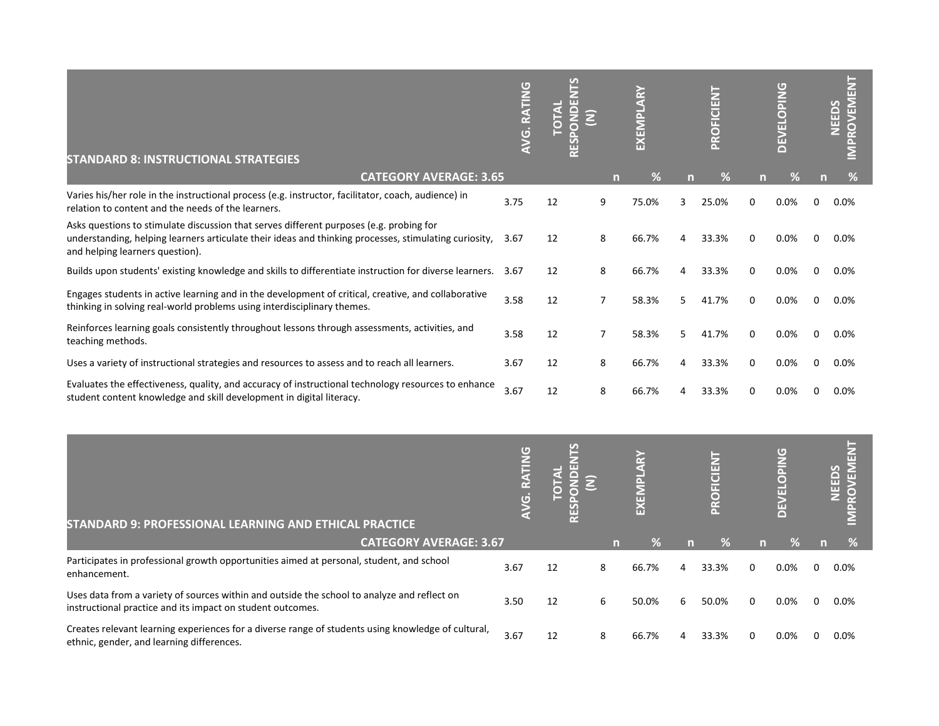| <b>STANDARD 8: INSTRUCTIONAL STRATEGIES</b>                                                                                                                                                                                         | G<br>AVG. RATIN    | <b>PL</b><br>깉<br><b>TOTAL</b><br>RESPOND | Ξ                      | EXEMPLARY |   | PROFICIENT |             | <b>EVELOPING</b><br>$\Box$ |             | <b>IMPROVEMENT</b><br>NEEDS |
|-------------------------------------------------------------------------------------------------------------------------------------------------------------------------------------------------------------------------------------|--------------------|-------------------------------------------|------------------------|-----------|---|------------|-------------|----------------------------|-------------|-----------------------------|
| <b>CATEGORY AVERAGE: 3.65</b>                                                                                                                                                                                                       |                    |                                           | $\mathsf{n}$           | %         | n | %          | n           | %                          | n           | $\%$                        |
| Varies his/her role in the instructional process (e.g. instructor, facilitator, coach, audience) in<br>relation to content and the needs of the learners.                                                                           | 3.75               | 12                                        | 9                      | 75.0%     | 3 | 25.0%      | $\mathbf 0$ | 0.0%                       | 0           | 0.0%                        |
| Asks questions to stimulate discussion that serves different purposes (e.g. probing for<br>understanding, helping learners articulate their ideas and thinking processes, stimulating curiosity,<br>and helping learners question). | 3.67               | 12                                        | 8                      | 66.7%     | 4 | 33.3%      | 0           | 0.0%                       | 0           | 0.0%                        |
| Builds upon students' existing knowledge and skills to differentiate instruction for diverse learners.                                                                                                                              | 3.67               | 12                                        | 8                      | 66.7%     | 4 | 33.3%      | 0           | 0.0%                       | $\mathbf 0$ | 0.0%                        |
| Engages students in active learning and in the development of critical, creative, and collaborative<br>thinking in solving real-world problems using interdisciplinary themes.                                                      | 3.58               | 12                                        | $\overline{7}$         | 58.3%     | 5 | 41.7%      | $\mathbf 0$ | 0.0%                       | 0           | 0.0%                        |
| Reinforces learning goals consistently throughout lessons through assessments, activities, and<br>teaching methods.                                                                                                                 | 3.58               | 12                                        | $\overline{7}$         | 58.3%     | 5 | 41.7%      | 0           | 0.0%                       | 0           | 0.0%                        |
| Uses a variety of instructional strategies and resources to assess and to reach all learners.                                                                                                                                       | 3.67               | 12                                        | 8                      | 66.7%     | 4 | 33.3%      | 0           | 0.0%                       | 0           | 0.0%                        |
| Evaluates the effectiveness, quality, and accuracy of instructional technology resources to enhance<br>student content knowledge and skill development in digital literacy.                                                         | 3.67               | 12                                        | 8                      | 66.7%     |   | 33.3%      | $\mathbf 0$ | 0.0%                       | $\mathbf 0$ | 0.0%                        |
|                                                                                                                                                                                                                                     |                    |                                           |                        |           |   |            |             |                            |             |                             |
|                                                                                                                                                                                                                                     | <b>AVG. RATING</b> | <u>FS</u><br>RESPONDEN<br><b>TOTAL</b>    | $\widehat{\mathsf{z}}$ | EXEMPLARY |   | PROFICIENT |             | <b>EVELOPING</b>           |             | IMPROVEMENT<br><b>NEEDS</b> |
| STANDARD 9: PROFESSIONAL LEARNING AND ETHICAL PRACTICE                                                                                                                                                                              |                    |                                           |                        |           |   |            |             |                            |             |                             |
| <b>CATEGORY AVERAGE: 3.67</b>                                                                                                                                                                                                       |                    |                                           | $\mathsf{m}$           | %         | n | %          | n           | %                          | n           | %                           |
| Participates in professional growth opportunities aimed at personal, student, and school<br>enhancement.                                                                                                                            | 3.67               | 12                                        | 8                      | 66.7%     | Δ | 33.3%      | $\mathbf 0$ | 0.0%                       | 0           | 0.0%                        |
| Uses data from a variety of sources within and outside the school to analyze and reflect on<br>instructional practice and its impact on student outcomes.                                                                           | 3.50               | 12                                        | 6                      | 50.0%     | 6 | 50.0%      | 0           | 0.0%                       | $\mathbf 0$ | 0.0%                        |
| Creates relevant learning experiences for a diverse range of students using knowledge of cultural,<br>ethnic, gender, and learning differences.                                                                                     | 3.67               | 12                                        | 8                      | 66.7%     |   | 33.3%      | 0           | 0.0%                       | 0           | 0.0%                        |